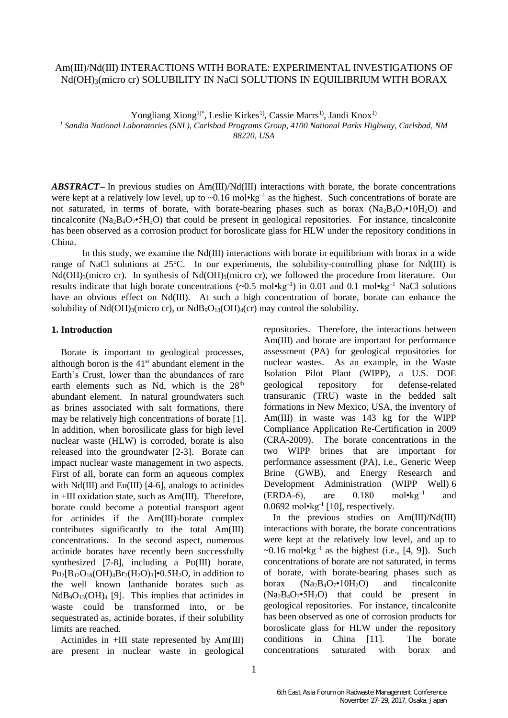# Am(III)/Nd(III) INTERACTIONS WITH BORATE: EXPERIMENTAL INVESTIGATIONS OF Nd(OH)3(micro cr) SOLUBILITY IN NaCl SOLUTIONS IN EQUILIBRIUM WITH BORAX

Yongliang Xiong<sup>1)\*</sup>, Leslie Kirkes<sup>1)</sup>, Cassie Marrs<sup>1)</sup>, Jandi Knox<sup>1)</sup>

*<sup>1</sup> Sandia National Laboratories (SNL), Carlsbad Programs Group, 4100 National Parks Highway, Carlsbad, NM 88220, USA*

*ABSTRACT* In previous studies on Am(III)/Nd(III) interactions with borate, the borate concentrations were kept at a relatively low level, up to  $\sim 0.16$  mol $\cdot \text{kg}^{-1}$  as the highest. Such concentrations of borate are not saturated, in terms of borate, with borate-bearing phases such as borax  $(Na_2B_4O_7 \cdot 10H_2O)$  and tincalconite (Na<sub>2</sub>B<sub>4</sub>O<sub>7</sub> $\cdot$ 5H<sub>2</sub>O) that could be present in geological repositories. For instance, tincalconite has been observed as a corrosion product for boroslicate glass for HLW under the repository conditions in China.

In this study, we examine the Nd(III) interactions with borate in equilibrium with borax in a wide range of NaCl solutions at  $25^{\circ}$ C. In our experiments, the solubility-controlling phase for Nd(III) is Nd(OH)<sub>3</sub>(micro cr). In synthesis of Nd(OH)<sub>3</sub>(micro cr), we followed the procedure from literature. Our results indicate that high borate concentrations  $(\sim 0.5 \text{ mol} \cdot \text{kg}^{-1})$  in 0.01 and 0.1 mol $\cdot \text{kg}^{-1}$  NaCl solutions have an obvious effect on Nd(III). At such a high concentration of borate, borate can enhance the solubility of Nd(OH)<sub>3</sub>(micro cr), or NdB<sub>9</sub>O<sub>13</sub>(OH)<sub>4</sub>(cr) may control the solubility.

## **1. Introduction**

Borate is important to geological processes, although boron is the  $41<sup>st</sup>$  abundant element in the Earth's Crust, lower than the abundances of rare earth elements such as Nd, which is the  $28<sup>th</sup>$ abundant element. In natural groundwaters such as brines associated with salt formations, there may be relatively high concentrations of borate [1]. In addition, when borosilicate glass for high level nuclear waste (HLW) is corroded, borate is also released into the groundwater [2-3]. Borate can impact nuclear waste management in two aspects. First of all, borate can form an aqueous complex with  $Nd(III)$  and Eu(III) [4-6], analogs to actinides in +III oxidation state, such as Am(III). Therefore, borate could become a potential transport agent for actinides if the Am(III)-borate complex contributes significantly to the total Am(III) concentrations. In the second aspect, numerous actinide borates have recently been successfully synthesized [7-8], including a Pu(III) borate,  $Pu_2[B_{12}O_{18}(OH)_4Br_2(H_2O)_3]$ •0.5H<sub>2</sub>O, in addition to the well known lanthanide borates such as  $NdB_9O_{13}(OH)_4$  [9]. This implies that actinides in waste could be transformed into, or be sequestrated as, actinide borates, if their solubility limits are reached.

Actinides in +III state represented by Am(III) are present in nuclear waste in geological

repositories. Therefore, the interactions between Am(III) and borate are important for performance assessment (PA) for geological repositories for nuclear wastes. As an example, in the Waste Isolation Pilot Plant (WIPP), a U.S. DOE geological repository for defense-related transuranic (TRU) waste in the bedded salt formations in New Mexico, USA, the inventory of Am(III) in waste was 143 kg for the WIPP Compliance Application Re-Certification in 2009 (CRA-2009). The borate concentrations in the two WIPP brines that are important for performance assessment (PA), i.e., Generic Weep Brine (GWB), and Energy Research and Development Administration (WIPP Well) 6  $(ERDA-6)$ , are  $0.180$  mol•kg<sup>-1</sup> and  $0.0692$  mol $\cdot$ kg<sup>-1</sup> [10], respectively.

In the previous studies on Am(III)/Nd(III) interactions with borate, the borate concentrations were kept at the relatively low level, and up to ~0.16 mol•kg<sup>-1</sup> as the highest (i.e.,  $[4, 9]$ ). Such concentrations of borate are not saturated, in terms of borate, with borate-bearing phases such as borax  $(Na_2B_4O_7 \cdot 10H_2O)$  and tincalconite  $(Na_2B_4O_7 \cdot 5H_2O)$  that could be present in geological repositories. For instance, tincalconite has been observed as one of corrosion products for boroslicate glass for HLW under the repository conditions in China [11]. The borate concentrations saturated with borax and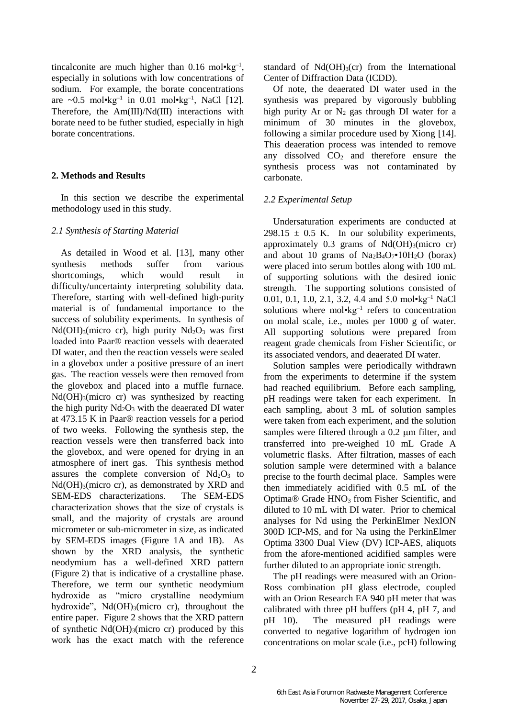tincalconite are much higher than  $0.16 \text{ mol} \cdot \text{kg}^{-1}$ , especially in solutions with low concentrations of sodium. For example, the borate concentrations are  $\sim 0.5$  mol•kg<sup>-1</sup> in 0.01 mol•kg<sup>-1</sup>, NaCl [12]. Therefore, the Am(III)/Nd(III) interactions with borate need to be futher studied, especially in high borate concentrations.

### **2. Methods and Results**

In this section we describe the experimental methodology used in this study.

#### *2.1 Synthesis of Starting Material*

As detailed in Wood et al. [13], many other synthesis methods suffer from various shortcomings, which would result in difficulty/uncertainty interpreting solubility data. Therefore, starting with well-defined high-purity material is of fundamental importance to the success of solubility experiments. In synthesis of  $Nd(OH)<sub>3</sub>(micro cr)$ , high purity  $Nd<sub>2</sub>O<sub>3</sub>$  was first loaded into Paar® reaction vessels with deaerated DI water, and then the reaction vessels were sealed in a glovebox under a positive pressure of an inert gas. The reaction vessels were then removed from the glovebox and placed into a muffle furnace.  $Nd(OH)<sub>3</sub>(micro cr)$  was synthesized by reacting the high purity  $Nd<sub>2</sub>O<sub>3</sub>$  with the deaerated DI water at 473.15 K in Paar® reaction vessels for a period of two weeks. Following the synthesis step, the reaction vessels were then transferred back into the glovebox, and were opened for drying in an atmosphere of inert gas. This synthesis method assures the complete conversion of  $Nd_2O_3$  to  $Nd(OH)<sub>3</sub>(micro cr)$ , as demonstrated by XRD and SEM-EDS characterizations. The SEM-EDS characterization shows that the size of crystals is small, and the majority of crystals are around micrometer or sub-micrometer in size, as indicated by SEM-EDS images (Figure 1A and 1B). As shown by the XRD analysis, the synthetic neodymium has a well-defined XRD pattern (Figure 2) that is indicative of a crystalline phase. Therefore, we term our synthetic neodymium hydroxide as "micro crystalline neodymium hydroxide", Nd(OH)<sub>3</sub>(micro cr), throughout the entire paper. Figure 2 shows that the XRD pattern of synthetic  $Nd(OH)_{3}$ (micro cr) produced by this work has the exact match with the reference

standard of  $Nd(OH)<sub>3</sub>(cr)$  from the International Center of Diffraction Data (ICDD).

Of note, the deaerated DI water used in the synthesis was prepared by vigorously bubbling high purity Ar or  $N_2$  gas through DI water for a minimum of 30 minutes in the glovebox, following a similar procedure used by Xiong [14]. This deaeration process was intended to remove any dissolved  $CO<sub>2</sub>$  and therefore ensure the synthesis process was not contaminated by carbonate.

### *2.2 Experimental Setup*

Undersaturation experiments are conducted at 298.15  $\pm$  0.5 K. In our solubility experiments, approximately  $0.3$  grams of Nd(OH)<sub>3</sub>(micro cr) and about 10 grams of  $Na<sub>2</sub>B<sub>4</sub>O<sub>7</sub> \cdot 10H<sub>2</sub>O$  (borax) were placed into serum bottles along with 100 mL of supporting solutions with the desired ionic strength. The supporting solutions consisted of 0.01, 0.1, 1.0, 2.1, 3.2, 4.4 and 5.0 mol•kg<sup>-1</sup> NaCl solutions where  $mol$ • $kg^{-1}$  refers to concentration on molal scale, i.e., moles per 1000 g of water. All supporting solutions were prepared from reagent grade chemicals from Fisher Scientific, or its associated vendors, and deaerated DI water.

Solution samples were periodically withdrawn from the experiments to determine if the system had reached equilibrium. Before each sampling, pH readings were taken for each experiment. In each sampling, about 3 mL of solution samples were taken from each experiment, and the solution samples were filtered through a  $0.2 \mu m$  filter, and transferred into pre-weighed 10 mL Grade A volumetric flasks. After filtration, masses of each solution sample were determined with a balance precise to the fourth decimal place. Samples were then immediately acidified with 0.5 mL of the Optima® Grade HNO<sub>3</sub> from Fisher Scientific, and diluted to 10 mL with DI water. Prior to chemical analyses for Nd using the PerkinElmer NexION 300D ICP-MS, and for Na using the PerkinElmer Optima 3300 Dual View (DV) ICP-AES, aliquots from the afore-mentioned acidified samples were further diluted to an appropriate ionic strength.

The pH readings were measured with an Orion-Ross combination pH glass electrode, coupled with an Orion Research EA 940 pH meter that was calibrated with three pH buffers (pH 4, pH 7, and pH 10). The measured pH readings were converted to negative logarithm of hydrogen ion concentrations on molar scale (i.e., pcH) following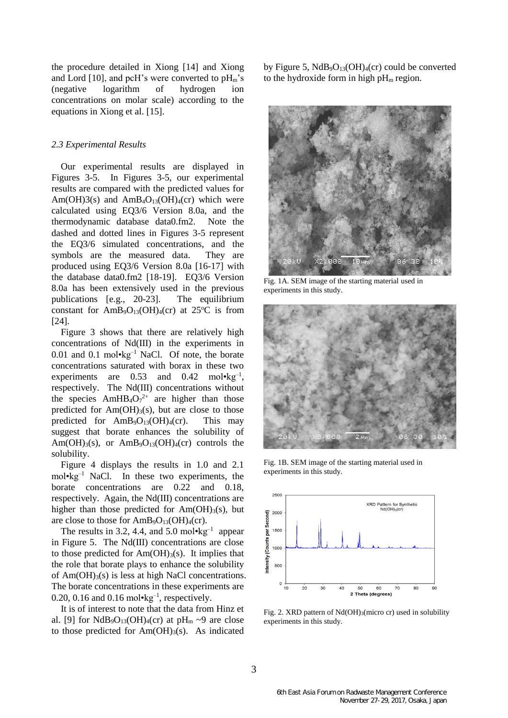the procedure detailed in Xiong [14] and Xiong and Lord [10], and pcH's were converted to  $pH_m$ 's (negative logarithm of hydrogen ion concentrations on molar scale) according to the equations in Xiong et al. [15].

#### *2.3 Experimental Results*

Our experimental results are displayed in Figures 3-5. In Figures 3-5, our experimental results are compared with the predicted values for Am(OH)3(s) and AmB<sub>4</sub>O<sub>13</sub>(OH)<sub>4</sub>(cr) which were calculated using EQ3/6 Version 8.0a, and the thermodynamic database data0.fm2. Note the dashed and dotted lines in Figures 3-5 represent the EQ3/6 simulated concentrations, and the symbols are the measured data. They are produced using EQ3/6 Version 8.0a [16-17] with the database data0.fm2 [18-19]. EQ3/6 Version 8.0a has been extensively used in the previous publications [e.g., 20-23]. The equilibrium constant for  $AmB_9O_{13}(OH)_4$ (cr) at 25°C is from [24].

Figure 3 shows that there are relatively high concentrations of Nd(III) in the experiments in 0.01 and 0.1 mol $\text{kg}^{-1}$  NaCl. Of note, the borate concentrations saturated with borax in these two experiments are  $0.53$  and  $0.42$  mol•kg<sup>-1</sup>, respectively. The Nd(III) concentrations without the species  $AmHB_4O_7^{2+}$  are higher than those predicted for  $Am(OH)_3(s)$ , but are close to those predicted for  $AmB_9O_{13}(OH)_4$ (cr). This may suggest that borate enhances the solubility of Am(OH)<sub>3</sub>(s), or AmB<sub>9</sub>O<sub>13</sub>(OH)<sub>4</sub>(cr) controls the solubility.

Figure 4 displays the results in 1.0 and 2.1 mol•kg–1 NaCl. In these two experiments, the borate concentrations are 0.22 and 0.18, respectively. Again, the Nd(III) concentrations are higher than those predicted for  $Am(OH)<sub>3</sub>(s)$ , but are close to those for  $AmB_9O_{13}(OH)_4$ (cr).

The results in 3.2, 4.4, and  $5.0 \text{ mol} \cdot \text{kg}^{-1}$  appear in Figure 5. The Nd(III) concentrations are close to those predicted for  $Am(OH)_{3}(s)$ . It implies that the role that borate plays to enhance the solubility of  $Am(OH)<sub>3</sub>(s)$  is less at high NaCl concentrations. The borate concentrations in these experiments are  $0.20, 0.16$  and  $0.16$  mol $\text{kg}^{-1}$ , respectively.

It is of interest to note that the data from Hinz et al. [9] for  $NdB_9O_{13}(OH)_4(cr)$  at pH<sub>m</sub> ~9 are close to those predicted for  $Am(OH)_3(s)$ . As indicated by Figure 5,  $NdB_9O_{13}(OH)_4(cr)$  could be converted to the hydroxide form in high  $pH_m$  region.



Fig. 1A. SEM image of the starting material used in experiments in this study.



Fig. 1B. SEM image of the starting material used in experiments in this study.



Fig. 2. XRD pattern of Nd(OH)3(micro cr) used in solubility experiments in this study.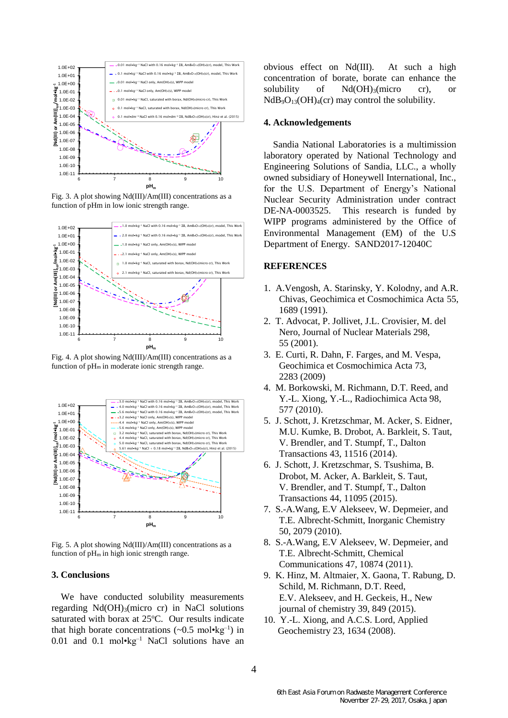

Fig. 3. A plot showing Nd(III)/Am(III) concentrations as a function of pHm in low ionic strength range.



Fig. 4. A plot showing Nd(III)/Am(III) concentrations as a function of  $pH_m$  in moderate ionic strength range.



Fig. 5. A plot showing Nd(III)/Am(III) concentrations as a function of  $pH_m$  in high ionic strength range.

## **3. Conclusions**

We have conducted solubility measurements regarding  $Nd(OH)<sub>3</sub>(micro cr)$  in NaCl solutions saturated with borax at 25°C. Our results indicate that high borate concentrations  $(\sim 0.5 \text{ mol} \cdot \text{kg}^{-1})$  in 0.01 and 0.1 mol•kg<sup>-1</sup> NaCl solutions have an

obvious effect on Nd(III). At such a high concentration of borate, borate can enhance the solubility of Nd(OH)<sub>3</sub>(micro cr), or  $NdB_9O_{13}(OH)_{4}(cr)$  may control the solubility.

### **4. Acknowledgements**

Sandia National Laboratories is a multimission laboratory operated by National Technology and Engineering Solutions of Sandia, LLC., a wholly owned subsidiary of Honeywell International, Inc., for the U.S. Department of Energy's National Nuclear Security Administration under contract DE-NA-0003525. This research is funded by WIPP programs administered by the Office of Environmental Management (EM) of the U.S Department of Energy. SAND2017-12040C

### **REFERENCES**

- 1. A.Vengosh, A. Starinsky, Y. Kolodny, and A.R. Chivas, Geochimica et Cosmochimica Acta 55, 1689 (1991).
- 2. T. Advocat, P. Jollivet, J.L. Crovisier, M. del Nero, Journal of Nuclear Materials 298, 55 (2001).
- 3. E. Curti, R. Dahn, F. Farges, and M. Vespa, Geochimica et Cosmochimica Acta 73, 2283 (2009)
- 4. M. Borkowski, M. Richmann, D.T. Reed, and Y.-L. Xiong, Y.-L., Radiochimica Acta 98, 577 (2010).
- 5. J. Schott, J. Kretzschmar, M. Acker, S. Eidner, M.U. Kumke, B. Drobot, A. Barkleit, S. Taut, V. Brendler, and T. Stumpf, T., Dalton Transactions 43, 11516 (2014).
- 6. J. Schott, J. Kretzschmar, S. Tsushima, B. Drobot, M. Acker, A. Barkleit, S. Taut, V. Brendler, and T. Stumpf, T., Dalton Transactions 44, 11095 (2015).
- 7. S.-A.Wang, E.V Alekseev, W. Depmeier, and T.E. Albrecht-Schmitt, Inorganic Chemistry 50, 2079 (2010).
- 8. S.-A.Wang, E.V Alekseev, W. Depmeier, and T.E. Albrecht-Schmitt, Chemical Communications 47, 10874 (2011).
- 9. K. Hinz, M. Altmaier, X. Gaona, T. Rabung, D. Schild, M. Richmann, D.T. Reed, E.V. Alekseev, and H. Geckeis, H., New journal of chemistry 39, 849 (2015).
- 10. Y.-L. Xiong, and A.C.S. Lord, Applied Geochemistry 23, 1634 (2008).